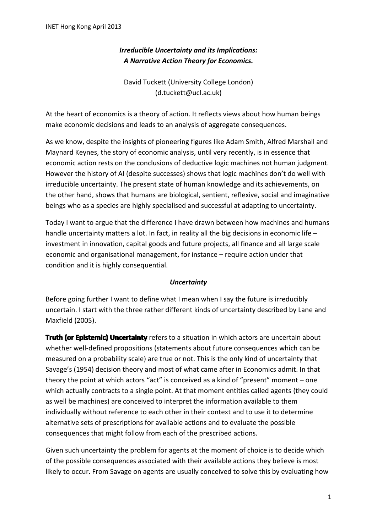# *Irreducible Uncertainty and its Implications: A Narrative Action Theory for Economics.*

David Tuckett (University College London) (d.tuckett@ucl.ac.uk)

At the heart of economics is a theory of action. It reflects views about how human beings make economic decisions and leads to an analysis of aggregate consequences.

As we know, despite the insights of pioneering figures like Adam Smith, Alfred Marshall and Maynard Keynes, the story of economic analysis, until very recently, is in essence that economic action rests on the conclusions of deductive logic machines not human judgment. However the history of AI (despite successes) shows that logic machines don't do well with irreducible uncertainty. The present state of human knowledge and its achievements, on the other hand, shows that humans are biological, sentient, reflexive, social and imaginative beings who as a species are highly specialised and successful at adapting to uncertainty.

Today I want to argue that the difference I have drawn between how machines and humans handle uncertainty matters a lot. In fact, in reality all the big decisions in economic life – investment in innovation, capital goods and future projects, all finance and all large scale economic and organisational management, for instance – require action under that condition and it is highly consequential.

#### *Uncertainty*

Before going further I want to define what I mean when I say the future is irreducibly uncertain. I start with the three rather different kinds of uncertainty described by Lane and Maxfield (2005).

Truth (or Epistemic) Uncertainty refers to a situation in which actors are uncertain about whether well-defined propositions (statements about future consequences which can be measured on a probability scale) are true or not. This is the only kind of uncertainty that Savage's (1954) decision theory and most of what came after in Economics admit. In that theory the point at which actors "act" is conceived as a kind of "present" moment – one which actually contracts to a single point. At that moment entities called agents (they could as well be machines) are conceived to interpret the information available to them individually without reference to each other in their context and to use it to determine alternative sets of prescriptions for available actions and to evaluate the possible consequences that might follow from each of the prescribed actions.

Given such uncertainty the problem for agents at the moment of choice is to decide which of the possible consequences associated with their available actions they believe is most likely to occur. From Savage on agents are usually conceived to solve this by evaluating how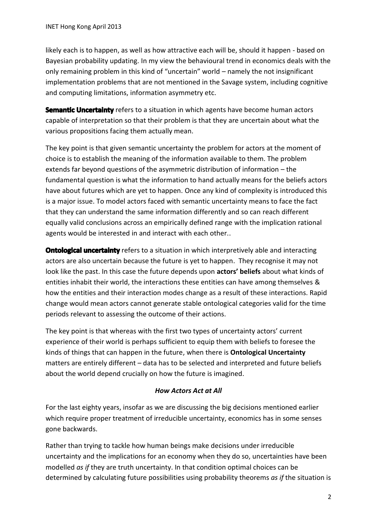likely each is to happen, as well as how attractive each will be, should it happen - based on Bayesian probability updating. In my view the behavioural trend in economics deals with the only remaining problem in this kind of "uncertain" world – namely the not insignificant implementation problems that are not mentioned in the Savage system, including cognitive and computing limitations, information asymmetry etc.

**Semantic Uncertainty** refers to a situation in which agents have become human actors capable of interpretation so that their problem is that they are uncertain about what the various propositions facing them actually mean.

The key point is that given semantic uncertainty the problem for actors at the moment of choice is to establish the meaning of the information available to them. The problem extends far beyond questions of the asymmetric distribution of information – the fundamental question is what the information to hand actually means for the beliefs actors have about futures which are yet to happen. Once any kind of complexity is introduced this is a major issue. To model actors faced with semantic uncertainty means to face the fact that they can understand the same information differently and so can reach different equally valid conclusions across an empirically defined range with the implication rational agents would be interested in and interact with each other..

**Ontological uncertainty** refers to a situation in which interpretively able and interacting actors are also uncertain because the future is yet to happen. They recognise it may not look like the past. In this case the future depends upon **actors' beliefs** about what kinds of entities inhabit their world, the interactions these entities can have among themselves & how the entities and their interaction modes change as a result of these interactions. Rapid change would mean actors cannot generate stable ontological categories valid for the time periods relevant to assessing the outcome of their actions.

The key point is that whereas with the first two types of uncertainty actors' current experience of their world is perhaps sufficient to equip them with beliefs to foresee the kinds of things that can happen in the future, when there is **Ontological Uncertainty** matters are entirely different – data has to be selected and interpreted and future beliefs about the world depend crucially on how the future is imagined.

## *How Actors Act at All*

For the last eighty years, insofar as we are discussing the big decisions mentioned earlier which require proper treatment of irreducible uncertainty, economics has in some senses gone backwards.

Rather than trying to tackle how human beings make decisions under irreducible uncertainty and the implications for an economy when they do so, uncertainties have been modelled *as if* they are truth uncertainty. In that condition optimal choices can be determined by calculating future possibilities using probability theorems *as if* the situation is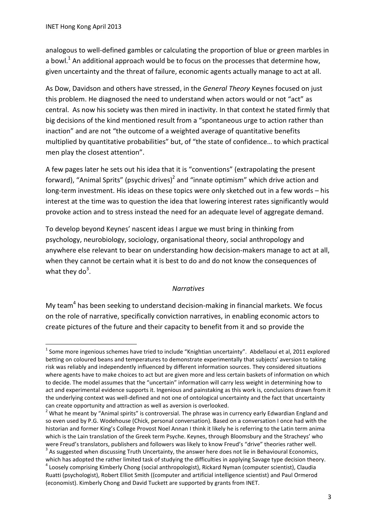1

analogous to well-defined gambles or calculating the proportion of blue or green marbles in a bowl.<sup>1</sup> An additional approach would be to focus on the processes that determine how, given uncertainty and the threat of failure, economic agents actually manage to act at all.

As Dow, Davidson and others have stressed, in the *General Theory* Keynes focused on just this problem. He diagnosed the need to understand when actors would or not "act" as central. As now his society was then mired in inactivity. In that context he stated firmly that big decisions of the kind mentioned result from a "spontaneous urge to action rather than inaction" and are not "the outcome of a weighted average of quantitative benefits multiplied by quantitative probabilities" but, of "the state of confidence… to which practical men play the closest attention".

A few pages later he sets out his idea that it is "conventions" (extrapolating the present forward), "Animal Sprits" (psychic drives)<sup>2</sup> and "innate optimism" which drive action and long-term investment. His ideas on these topics were only sketched out in a few words – his interest at the time was to question the idea that lowering interest rates significantly would provoke action and to stress instead the need for an adequate level of aggregate demand.

To develop beyond Keynes' nascent ideas I argue we must bring in thinking from psychology, neurobiology, sociology, organisational theory, social anthropology and anywhere else relevant to bear on understanding how decision-makers manage to act at all, when they cannot be certain what it is best to do and do not know the consequences of what they do<sup>3</sup>.

#### *Narratives*

My team<sup>4</sup> has been seeking to understand decision-making in financial markets. We focus on the role of narrative, specifically conviction narratives, in enabling economic actors to create pictures of the future and their capacity to benefit from it and so provide the

 $^1$  Some more ingenious schemes have tried to include "Knightian uncertainty". Abdellaoui et al, 2011 explored betting on coloured beans and temperatures to demonstrate experimentally that subjects' aversion to taking risk was reliably and independently influenced by different information sources. They considered situations where agents have to make choices to act but are given more and less certain baskets of information on which to decide. The model assumes that the "uncertain" information will carry less weight in determining how to act and experimental evidence supports it. Ingenious and painstaking as this work is, conclusions drawn from it the underlying context was well-defined and not one of ontological uncertainty and the fact that uncertainty can create opportunity and attraction as well as aversion is overlooked.

 $2$  What he meant by "Animal spirits" is controversial. The phrase was in currency early Edwardian England and so even used by P.G. Wodehouse (Chick, personal conversation). Based on a conversation I once had with the historian and former King's College Provost Noel Annan I think it likely he is referring to the Latin term anima which is the Lain translation of the Greek term Psyche. Keynes, through Bloomsbury and the Stracheys' who were Freud's translators, publishers and followers was likely to know Freud's "drive" theories rather well.  $3$  As suggested when discussing Truth Uncertainty, the answer here does not lie in Behavioural Economics, which has adopted the rather limited task of studying the difficulties in applying Savage type decision theory.

<sup>&</sup>lt;sup>4</sup> Loosely comprising Kimberly Chong (social anthropologist), Rickard Nyman (computer scientist), Claudia Ruatti (psychologist), Robert Elliot Smith ((computer and artificial intelligence scientist) and Paul Ormerod (economist). Kimberly Chong and David Tuckett are supported by grants from INET.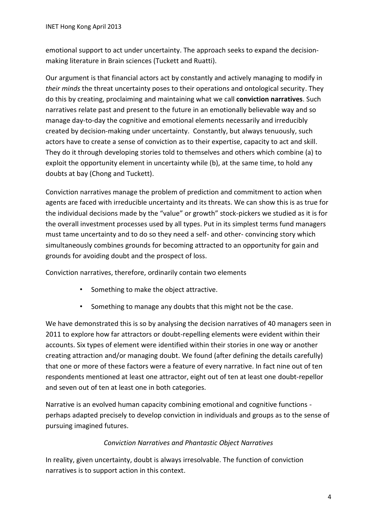emotional support to act under uncertainty. The approach seeks to expand the decisionmaking literature in Brain sciences (Tuckett and Ruatti).

Our argument is that financial actors act by constantly and actively managing to modify in *their minds* the threat uncertainty poses to their operations and ontological security. They do this by creating, proclaiming and maintaining what we call **conviction narratives**. Such narratives relate past and present to the future in an emotionally believable way and so manage day-to-day the cognitive and emotional elements necessarily and irreducibly created by decision-making under uncertainty. Constantly, but always tenuously, such actors have to create a sense of conviction as to their expertise, capacity to act and skill. They do it through developing stories told to themselves and others which combine (a) to exploit the opportunity element in uncertainty while (b), at the same time, to hold any doubts at bay (Chong and Tuckett).

Conviction narratives manage the problem of prediction and commitment to action when agents are faced with irreducible uncertainty and its threats. We can show this is as true for the individual decisions made by the "value" or growth" stock-pickers we studied as it is for the overall investment processes used by all types. Put in its simplest terms fund managers must tame uncertainty and to do so they need a self- and other- convincing story which simultaneously combines grounds for becoming attracted to an opportunity for gain and grounds for avoiding doubt and the prospect of loss.

Conviction narratives, therefore, ordinarily contain two elements

- Something to make the object attractive.
- Something to manage any doubts that this might not be the case.

We have demonstrated this is so by analysing the decision narratives of 40 managers seen in 2011 to explore how far attractors or doubt-repelling elements were evident within their accounts. Six types of element were identified within their stories in one way or another creating attraction and/or managing doubt. We found (after defining the details carefully) that one or more of these factors were a feature of every narrative. In fact nine out of ten respondents mentioned at least one attractor, eight out of ten at least one doubt-repellor and seven out of ten at least one in both categories.

Narrative is an evolved human capacity combining emotional and cognitive functions perhaps adapted precisely to develop conviction in individuals and groups as to the sense of pursuing imagined futures.

## *Conviction Narratives and Phantastic Object Narratives*

In reality, given uncertainty, doubt is always irresolvable. The function of conviction narratives is to support action in this context.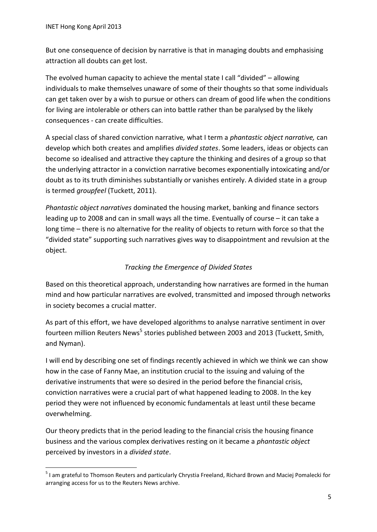But one consequence of decision by narrative is that in managing doubts and emphasising attraction all doubts can get lost.

The evolved human capacity to achieve the mental state I call "divided" – allowing individuals to make themselves unaware of some of their thoughts so that some individuals can get taken over by a wish to pursue or others can dream of good life when the conditions for living are intolerable or others can into battle rather than be paralysed by the likely consequences - can create difficulties.

A special class of shared conviction narrative*,* what I term a *phantastic object narrative,* can develop which both creates and amplifies *divided states*. Some leaders, ideas or objects can become so idealised and attractive they capture the thinking and desires of a group so that the underlying attractor in a conviction narrative becomes exponentially intoxicating and/or doubt as to its truth diminishes substantially or vanishes entirely. A divided state in a group is termed *groupfeel* (Tuckett, 2011).

*Phantastic object narratives* dominated the housing market, banking and finance sectors leading up to 2008 and can in small ways all the time. Eventually of course – it can take a long time – there is no alternative for the reality of objects to return with force so that the "divided state" supporting such narratives gives way to disappointment and revulsion at the object.

## *Tracking the Emergence of Divided States*

Based on this theoretical approach, understanding how narratives are formed in the human mind and how particular narratives are evolved, transmitted and imposed through networks in society becomes a crucial matter.

As part of this effort, we have developed algorithms to analyse narrative sentiment in over fourteen million Reuters News<sup>5</sup> stories published between 2003 and 2013 (Tuckett, Smith, and Nyman).

I will end by describing one set of findings recently achieved in which we think we can show how in the case of Fanny Mae, an institution crucial to the issuing and valuing of the derivative instruments that were so desired in the period before the financial crisis, conviction narratives were a crucial part of what happened leading to 2008. In the key period they were not influenced by economic fundamentals at least until these became overwhelming.

Our theory predicts that in the period leading to the financial crisis the housing finance business and the various complex derivatives resting on it became a *phantastic object*  perceived by investors in a *divided state*.

<sup>1</sup> <sup>5</sup> I am grateful to Thomson Reuters and particularly Chrystia Freeland, Richard Brown and Maciej Pomalecki for arranging access for us to the Reuters News archive.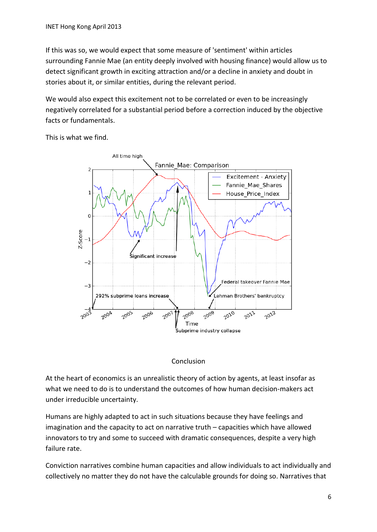If this was so, we would expect that some measure of 'sentiment' within articles surrounding Fannie Mae (an entity deeply involved with housing finance) would allow us to detect significant growth in exciting attraction and/or a decline in anxiety and doubt in stories about it, or similar entities, during the relevant period.

We would also expect this excitement not to be correlated or even to be increasingly negatively correlated for a substantial period before a correction induced by the objective facts or fundamentals.

This is what we find.



#### Conclusion

At the heart of economics is an unrealistic theory of action by agents, at least insofar as what we need to do is to understand the outcomes of how human decision-makers act under irreducible uncertainty.

Humans are highly adapted to act in such situations because they have feelings and imagination and the capacity to act on narrative truth – capacities which have allowed innovators to try and some to succeed with dramatic consequences, despite a very high failure rate.

Conviction narratives combine human capacities and allow individuals to act individually and collectively no matter they do not have the calculable grounds for doing so. Narratives that